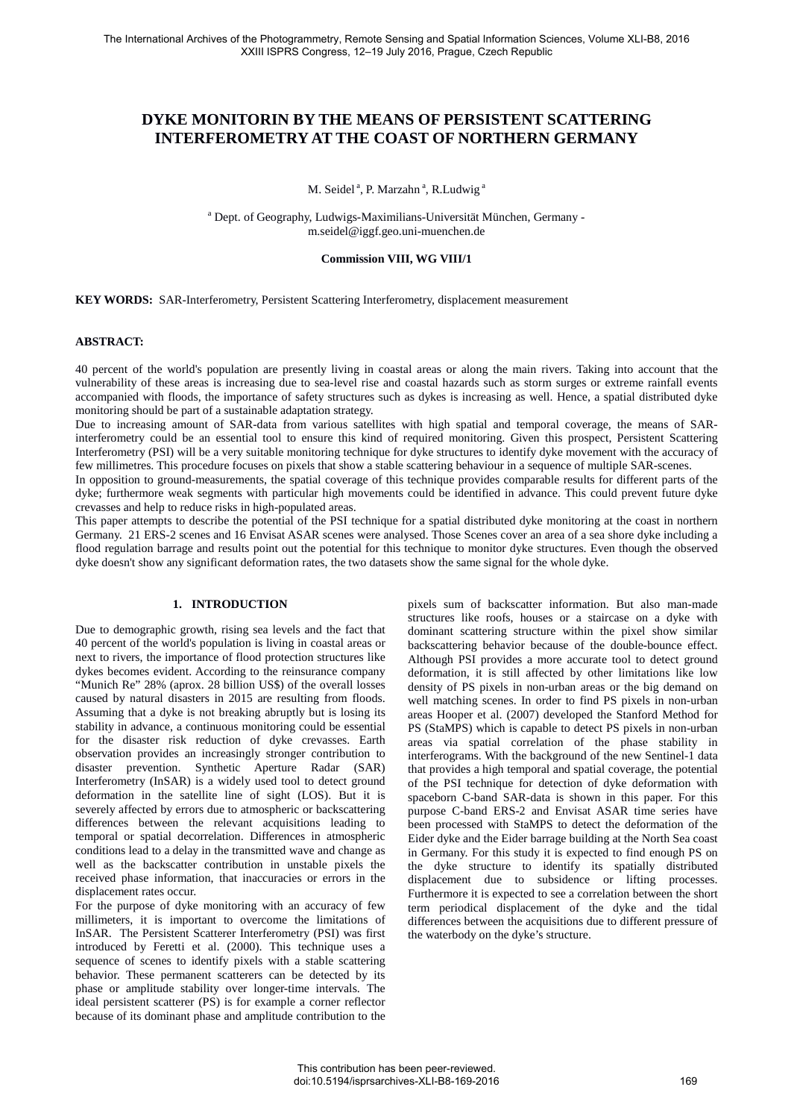# **DYKE MONITORIN BY THE MEANS OF PERSISTENT SCATTERING INTERFEROMETRY AT THE COAST OF NORTHERN GERMANY**

M. Seidel<sup>a</sup>, P. Marzahn<sup>a</sup>, R.Ludwig<sup>a</sup>

<sup>a</sup> Dept. of Geography, Ludwigs-Maximilians-Universität München, Germany m.seidel@iggf.geo.uni-muenchen.de

# **Commission VIII, WG VIII/1**

**KEY WORDS:** SAR-Interferometry, Persistent Scattering Interferometry, displacement measurement

### **ABSTRACT:**

40 percent of the world's population are presently living in coastal areas or along the main rivers. Taking into account that the vulnerability of these areas is increasing due to sea-level rise and coastal hazards such as storm surges or extreme rainfall events accompanied with floods, the importance of safety structures such as dykes is increasing as well. Hence, a spatial distributed dyke monitoring should be part of a sustainable adaptation strategy.

Due to increasing amount of SAR-data from various satellites with high spatial and temporal coverage, the means of SARinterferometry could be an essential tool to ensure this kind of required monitoring. Given this prospect, Persistent Scattering Interferometry (PSI) will be a very suitable monitoring technique for dyke structures to identify dyke movement with the accuracy of few millimetres. This procedure focuses on pixels that show a stable scattering behaviour in a sequence of multiple SAR-scenes.

In opposition to ground-measurements, the spatial coverage of this technique provides comparable results for different parts of the dyke; furthermore weak segments with particular high movements could be identified in advance. This could prevent future dyke crevasses and help to reduce risks in high-populated areas.

This paper attempts to describe the potential of the PSI technique for a spatial distributed dyke monitoring at the coast in northern Germany. 21 ERS-2 scenes and 16 Envisat ASAR scenes were analysed. Those Scenes cover an area of a sea shore dyke including a flood regulation barrage and results point out the potential for this technique to monitor dyke structures. Even though the observed dyke doesn't show any significant deformation rates, the two datasets show the same signal for the whole dyke.

# **1. INTRODUCTION**

Due to demographic growth, rising sea levels and the fact that 40 percent of the world's population is living in coastal areas or next to rivers, the importance of flood protection structures like dykes becomes evident. According to the reinsurance company "Munich Re" 28% (aprox. 28 billion US\$) of the overall losses caused by natural disasters in 2015 are resulting from floods. Assuming that a dyke is not breaking abruptly but is losing its stability in advance, a continuous monitoring could be essential for the disaster risk reduction of dyke crevasses. Earth observation provides an increasingly stronger contribution to disaster prevention. Synthetic Aperture Radar (SAR) Interferometry (InSAR) is a widely used tool to detect ground deformation in the satellite line of sight (LOS). But it is severely affected by errors due to atmospheric or backscattering differences between the relevant acquisitions leading to temporal or spatial decorrelation. Differences in atmospheric conditions lead to a delay in the transmitted wave and change as well as the backscatter contribution in unstable pixels the received phase information, that inaccuracies or errors in the displacement rates occur.

For the purpose of dyke monitoring with an accuracy of few millimeters, it is important to overcome the limitations of InSAR. The Persistent Scatterer Interferometry (PSI) was first introduced by Feretti et al. (2000). This technique uses a sequence of scenes to identify pixels with a stable scattering behavior. These permanent scatterers can be detected by its phase or amplitude stability over longer-time intervals. The ideal persistent scatterer (PS) is for example a corner reflector because of its dominant phase and amplitude contribution to the

pixels sum of backscatter information. But also man-made structures like roofs, houses or a staircase on a dyke with dominant scattering structure within the pixel show similar backscattering behavior because of the double-bounce effect. Although PSI provides a more accurate tool to detect ground deformation, it is still affected by other limitations like low density of PS pixels in non-urban areas or the big demand on well matching scenes. In order to find PS pixels in non-urban areas Hooper et al. (2007) developed the Stanford Method for PS (StaMPS) which is capable to detect PS pixels in non-urban areas via spatial correlation of the phase stability in interferograms. With the background of the new Sentinel-1 data that provides a high temporal and spatial coverage, the potential of the PSI technique for detection of dyke deformation with spaceborn C-band SAR-data is shown in this paper. For this purpose C-band ERS-2 and Envisat ASAR time series have been processed with StaMPS to detect the deformation of the Eider dyke and the Eider barrage building at the North Sea coast in Germany. For this study it is expected to find enough PS on the dyke structure to identify its spatially distributed displacement due to subsidence or lifting processes. Furthermore it is expected to see a correlation between the short term periodical displacement of the dyke and the tidal differences between the acquisitions due to different pressure of the waterbody on the dyke's structure.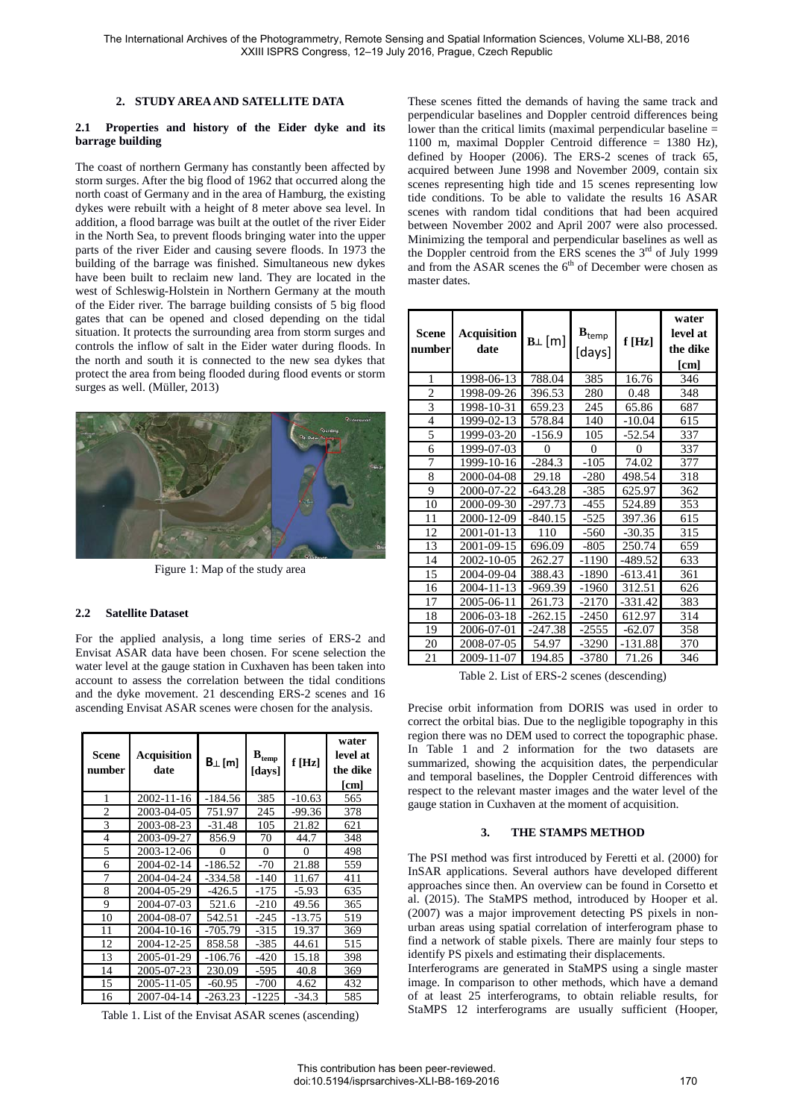## **2. STUDY AREA AND SATELLITE DATA**

#### **2.1 Properties and history of the Eider dyke and its barrage building**

The coast of northern Germany has constantly been affected by storm surges. After the big flood of 1962 that occurred along the north coast of Germany and in the area of Hamburg, the existing dykes were rebuilt with a height of 8 meter above sea level. In addition, a flood barrage was built at the outlet of the river Eider in the North Sea, to prevent floods bringing water into the upper parts of the river Eider and causing severe floods. In 1973 the building of the barrage was finished. Simultaneous new dykes have been built to reclaim new land. They are located in the west of Schleswig-Holstein in Northern Germany at the mouth of the Eider river. The barrage building consists of 5 big flood gates that can be opened and closed depending on the tidal situation. It protects the surrounding area from storm surges and controls the inflow of salt in the Eider water during floods. In the north and south it is connected to the new sea dykes that protect the area from being flooded during flood events or storm surges as well. (Müller, 2013)



Figure 1: Map of the study area

# **2.2 Satellite Dataset**

For the applied analysis, a long time series of ERS-2 and Envisat ASAR data have been chosen. For scene selection the water level at the gauge station in Cuxhaven has been taken into account to assess the correlation between the tidal conditions and the dyke movement. 21 descending ERS-2 scenes and 16 ascending Envisat ASAR scenes were chosen for the analysis.

| Scene<br>number | <b>Acquisition</b><br>date | $B_{\perp}[m]$ | $\mathbf{B}_{\text{temp}}$<br>[days] | f[Hz]    | water<br>level at<br>the dike<br>[cm] |
|-----------------|----------------------------|----------------|--------------------------------------|----------|---------------------------------------|
| 1               | 2002-11-16                 | -184.56        | 385                                  | $-10.63$ | 565                                   |
| $\overline{c}$  | 2003-04-05                 | 751.97         | 245                                  | $-99.36$ | 378                                   |
| 3               | 2003-08-23                 | $-31.48$       | 105                                  | 21.82    | 621                                   |
| $\overline{4}$  | 2003-09-27                 | 856.9          | 70                                   | 44.7     | 348                                   |
| 5               | 2003-12-06                 | 0              | $\Omega$                             | $\Omega$ | 498                                   |
| 6               | 2004-02-14                 | $-186.52$      | $-70$                                | 21.88    | 559                                   |
| 7               | 2004-04-24                 | -334.58        | -140                                 | 11.67    | 411                                   |
| 8               | 2004-05-29                 | $-426.5$       | $-175$                               | $-5.93$  | 635                                   |
| 9               | 2004-07-03                 | 521.6          | $-210$                               | 49.56    | 365                                   |
| 10              | 2004-08-07                 | 542.51         | $-245$                               | $-13.75$ | 519                                   |
| 11              | 2004-10-16                 | $-705.79$      | $-315$                               | 19.37    | 369                                   |
| 12              | 2004-12-25                 | 858.58         | -385                                 | 44.61    | 515                                   |
| 13              | 2005-01-29                 | $-106.76$      | $-420$                               | 15.18    | 398                                   |
| 14              | 2005-07-23                 | 230.09         | $-595$                               | 40.8     | 369                                   |
| 15              | 2005-11-05                 | $-60.95$       | $-700$                               | 4.62     | 432                                   |
| 16              | 2007-04-14                 | $-263.23$      | $-1225$                              | $-34.3$  | 585                                   |

Table 1. List of the Envisat ASAR scenes (ascending)

These scenes fitted the demands of having the same track and perpendicular baselines and Doppler centroid differences being lower than the critical limits (maximal perpendicular baseline = 1100 m, maximal Doppler Centroid difference = 1380 Hz), defined by Hooper (2006). The ERS-2 scenes of track 65, acquired between June 1998 and November 2009, contain six scenes representing high tide and 15 scenes representing low tide conditions. To be able to validate the results 16 ASAR scenes with random tidal conditions that had been acquired between November 2002 and April 2007 were also processed. Minimizing the temporal and perpendicular baselines as well as the Doppler centroid from the ERS scenes the  $3<sup>rd</sup>$  of July 1999 and from the ASAR scenes the  $6<sup>th</sup>$  of December were chosen as master dates.

| Scene<br>number | <b>Acquisition</b><br>date | $B_{\perp}$ [m] | $B_{temp}$<br>[days] | f[Hz]     | water<br>level at<br>the dike<br>[cm] |
|-----------------|----------------------------|-----------------|----------------------|-----------|---------------------------------------|
| 1               | 1998-06-13                 | 788.04          | 385                  | 16.76     | 346                                   |
| $\overline{c}$  | 1998-09-26                 | 396.53          | 280                  | 0.48      | 348                                   |
| 3               | 1998-10-31                 | 659.23          | 245                  | 65.86     | 687                                   |
| $\overline{4}$  | 1999-02-13                 | 578.84          | 140                  | $-10.04$  | 615                                   |
| 5               | 1999-03-20                 | $-156.9$        | 105                  | $-52.54$  | 337                                   |
| 6               | 1999-07-03                 | 0               | $\theta$             | 0         | 337                                   |
| 7               | 1999-10-16                 | $-284.3$        | $-105$               | 74.02     | 377                                   |
| 8               | 2000-04-08                 | 29.18           | $-280$               | 498.54    | 318                                   |
| 9               | 2000-07-22                 | $-643.28$       | -385                 | 625.97    | 362                                   |
| 10              | 2000-09-30                 | $-297.73$       | $-455$               | 524.89    | 353                                   |
| 11              | 2000-12-09                 | $-840.15$       | $-525$               | 397.36    | 615                                   |
| 12              | 2001-01-13                 | 110             | $-560$               | $-30.35$  | 315                                   |
| 13              | 2001-09-15                 | 696.09          | $-805$               | 250.74    | 659                                   |
| 14              | 2002-10-05                 | 262.27          | -1190                | -489.52   | 633                                   |
| 15              | 2004-09-04                 | 388.43          | -1890                | $-613.41$ | 361                                   |
| 16              | 2004-11-13                 | $-969.39$       | -1960                | 312.51    | 626                                   |
| 17              | 2005-06-11                 | 261.73          | $-2170$              | -331.42   | 383                                   |
| 18              | 2006-03-18                 | -262.15         | $-2450$              | 612.97    | 314                                   |
| 19              | 2006-07-01                 | $-247.38$       | $-2555$              | $-62.07$  | 358                                   |
| 20              | 2008-07-05                 | 54.97           | -3290                | $-131.88$ | 370                                   |
| 21              | 2009-11-07                 | 194.85          | -3780                | 71.26     | 346                                   |

Table 2. List of ERS-2 scenes (descending)

Precise orbit information from DORIS was used in order to correct the orbital bias. Due to the negligible topography in this region there was no DEM used to correct the topographic phase. In Table 1 and 2 information for the two datasets are summarized, showing the acquisition dates, the perpendicular and temporal baselines, the Doppler Centroid differences with respect to the relevant master images and the water level of the gauge station in Cuxhaven at the moment of acquisition.

### **3. THE STAMPS METHOD**

The PSI method was first introduced by Feretti et al. (2000) for InSAR applications. Several authors have developed different approaches since then. An overview can be found in Corsetto et al. (2015). The StaMPS method, introduced by Hooper et al. (2007) was a major improvement detecting PS pixels in nonurban areas using spatial correlation of interferogram phase to find a network of stable pixels. There are mainly four steps to identify PS pixels and estimating their displacements.

Interferograms are generated in StaMPS using a single master image. In comparison to other methods, which have a demand of at least 25 interferograms, to obtain reliable results, for StaMPS 12 interferograms are usually sufficient (Hooper,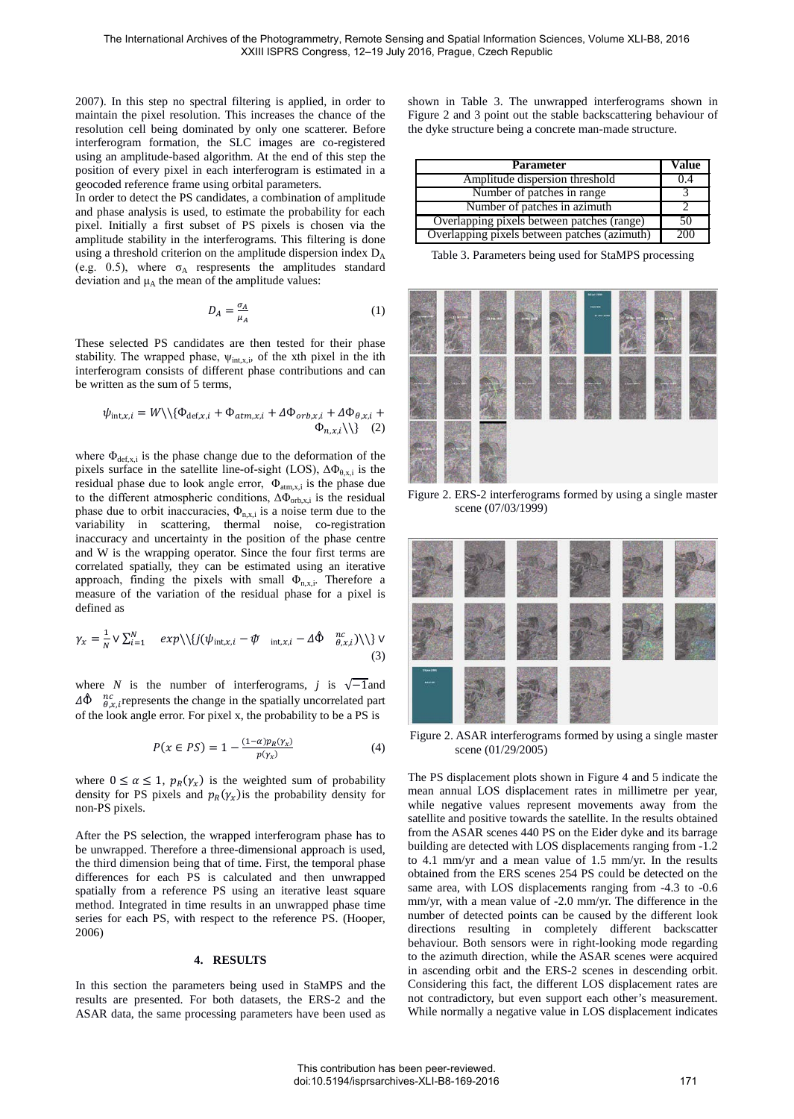2007). In this step no spectral filtering is applied, in order to maintain the pixel resolution. This increases the chance of the resolution cell being dominated by only one scatterer. Before interferogram formation, the SLC images are co-registered using an amplitude-based algorithm. At the end of this step the position of every pixel in each interferogram is estimated in a geocoded reference frame using orbital parameters.

In order to detect the PS candidates, a combination of amplitude and phase analysis is used, to estimate the probability for each pixel. Initially a first subset of PS pixels is chosen via the amplitude stability in the interferograms. This filtering is done using a threshold criterion on the amplitude dispersion index  $D_A$ (e.g. 0.5), where  $\sigma_A$  respresents the amplitudes standard deviation and  $\mu_A$  the mean of the amplitude values:

$$
D_A = \frac{\sigma_A}{\mu_A} \tag{1}
$$

These selected PS candidates are then tested for their phase stability. The wrapped phase,  $\psi_{int.x,i}$ , of the xth pixel in the ith interferogram consists of different phase contributions and can be written as the sum of 5 terms,

$$
\psi_{\text{int},x,i} = W \backslash \{ \Phi_{\text{def},x,i} + \Phi_{atm,x,i} + \Delta \Phi_{orb,x,i} + \Delta \Phi_{\theta,x,i} + \Phi_{n,x,i} \backslash \} - \Phi_{n,x,i} \backslash \} \tag{2}
$$

where  $\Phi_{\text{def},x,i}$  is the phase change due to the deformation of the pixels surface in the satellite line-of-sight (LOS),  $\Delta \Phi_{\theta, x, i}$  is the residual phase due to look angle error,  $\Phi_{\text{atm},x,i}$  is the phase due to the different atmospheric conditions,  $\Delta \Phi_{\text{orb,xi}}$  is the residual phase due to orbit inaccuracies,  $\Phi_{n,x,i}$  is a noise term due to the variability in scattering, thermal noise, co-registration inaccuracy and uncertainty in the position of the phase centre and W is the wrapping operator. Since the four first terms are correlated spatially, they can be estimated using an iterative approach, finding the pixels with small  $\Phi_{n,x,i}$ . Therefore a measure of the variation of the residual phase for a pixel is defined as

$$
\gamma_x = \frac{1}{N} \vee \sum_{i=1}^{N} \exp\left(\frac{1}{j}(\psi_{\text{int},x,i} - \phi_{\text{int},x,i} - \Delta \hat{\Phi}_{\theta,x,i})\right) \vee (3)
$$

where *N* is the number of interferograms, *j* is  $\sqrt{-1}$ and  $\Delta \hat{\Phi}$   $\mathcal{R}_{\text{R}}^{nc}$ , represents the change in the spatially uncorrelated part of the look angle error. For pixel x, the probability to be a PS is

$$
P(x \in PS) = 1 - \frac{(1 - \alpha)p_R(\gamma_x)}{p(\gamma_x)}
$$
(4)

where  $0 \le \alpha \le 1$ ,  $p_R(\gamma_x)$  is the weighted sum of probability density for PS pixels and  $p_R(y_x)$  is the probability density for non-PS pixels.

After the PS selection, the wrapped interferogram phase has to be unwrapped. Therefore a three-dimensional approach is used, the third dimension being that of time. First, the temporal phase differences for each PS is calculated and then unwrapped spatially from a reference PS using an iterative least square method. Integrated in time results in an unwrapped phase time series for each PS, with respect to the reference PS. (Hooper, 2006)

#### **4. RESULTS**

In this section the parameters being used in StaMPS and the results are presented. For both datasets, the ERS-2 and the ASAR data, the same processing parameters have been used as shown in Table 3. The unwrapped interferograms shown in Figure 2 and 3 point out the stable backscattering behaviour of the dyke structure being a concrete man-made structure.

| <b>Parameter</b>                             | Value |
|----------------------------------------------|-------|
| Amplitude dispersion threshold               | 0.4   |
| Number of patches in range                   |       |
| Number of patches in azimuth                 |       |
| Overlapping pixels between patches (range)   | 50    |
| Overlapping pixels between patches (azimuth) | -200  |

Table 3. Parameters being used for StaMPS processing



Figure 2. ERS-2 interferograms formed by using a single master scene (07/03/1999)



Figure 2. ASAR interferograms formed by using a single master scene (01/29/2005)

The PS displacement plots shown in Figure 4 and 5 indicate the mean annual LOS displacement rates in millimetre per year, while negative values represent movements away from the satellite and positive towards the satellite. In the results obtained from the ASAR scenes 440 PS on the Eider dyke and its barrage building are detected with LOS displacements ranging from -1.2 to 4.1 mm/yr and a mean value of 1.5 mm/yr. In the results obtained from the ERS scenes 254 PS could be detected on the same area, with LOS displacements ranging from -4.3 to -0.6 mm/yr, with a mean value of -2.0 mm/yr. The difference in the number of detected points can be caused by the different look directions resulting in completely different backscatter behaviour. Both sensors were in right-looking mode regarding to the azimuth direction, while the ASAR scenes were acquired in ascending orbit and the ERS-2 scenes in descending orbit. Considering this fact, the different LOS displacement rates are not contradictory, but even support each other's measurement. While normally a negative value in LOS displacement indicates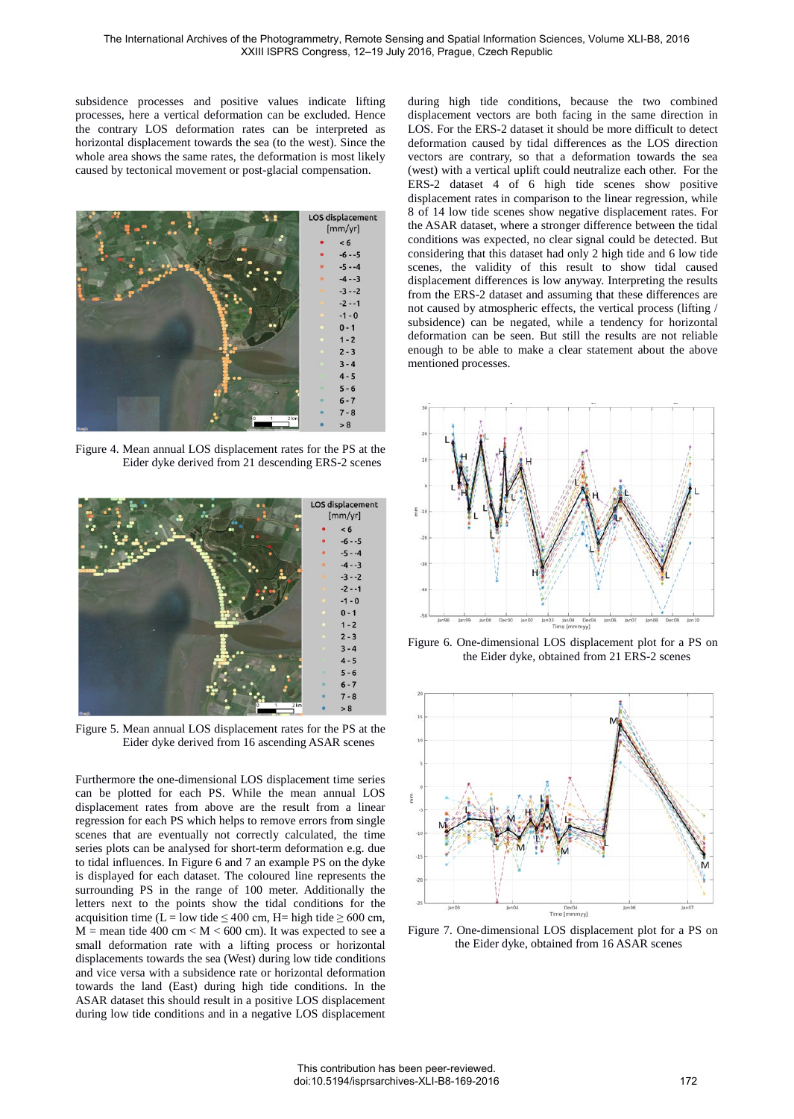subsidence processes and positive values indicate lifting processes, here a vertical deformation can be excluded. Hence the contrary LOS deformation rates can be interpreted as horizontal displacement towards the sea (to the west). Since the whole area shows the same rates, the deformation is most likely caused by tectonical movement or post-glacial compensation.



Figure 4. Mean annual LOS displacement rates for the PS at the Eider dyke derived from 21 descending ERS-2 scenes



Figure 5. Mean annual LOS displacement rates for the PS at the Eider dyke derived from 16 ascending ASAR scenes

Furthermore the one-dimensional LOS displacement time series can be plotted for each PS. While the mean annual LOS displacement rates from above are the result from a linear regression for each PS which helps to remove errors from single scenes that are eventually not correctly calculated, the time series plots can be analysed for short-term deformation e.g. due to tidal influences. In Figure 6 and 7 an example PS on the dyke is displayed for each dataset. The coloured line represents the surrounding PS in the range of 100 meter. Additionally the letters next to the points show the tidal conditions for the acquisition time (L = low tide  $\leq 400$  cm, H= high tide  $\geq 600$  cm,  $M =$  mean tide 400 cm <  $M <$  600 cm). It was expected to see a small deformation rate with a lifting process or horizontal displacements towards the sea (West) during low tide conditions and vice versa with a subsidence rate or horizontal deformation towards the land (East) during high tide conditions. In the ASAR dataset this should result in a positive LOS displacement during low tide conditions and in a negative LOS displacement during high tide conditions, because the two combined displacement vectors are both facing in the same direction in LOS. For the ERS-2 dataset it should be more difficult to detect deformation caused by tidal differences as the LOS direction vectors are contrary, so that a deformation towards the sea (west) with a vertical uplift could neutralize each other. For the ERS-2 dataset 4 of 6 high tide scenes show positive displacement rates in comparison to the linear regression, while 8 of 14 low tide scenes show negative displacement rates. For the ASAR dataset, where a stronger difference between the tidal conditions was expected, no clear signal could be detected. But considering that this dataset had only 2 high tide and 6 low tide scenes, the validity of this result to show tidal caused displacement differences is low anyway. Interpreting the results from the ERS-2 dataset and assuming that these differences are not caused by atmospheric effects, the vertical process (lifting / subsidence) can be negated, while a tendency for horizontal deformation can be seen. But still the results are not reliable enough to be able to make a clear statement about the above mentioned processes.



Figure 6. One-dimensional LOS displacement plot for a PS on the Eider dyke, obtained from 21 ERS-2 scenes



Figure 7. One-dimensional LOS displacement plot for a PS on the Eider dyke, obtained from 16 ASAR scenes